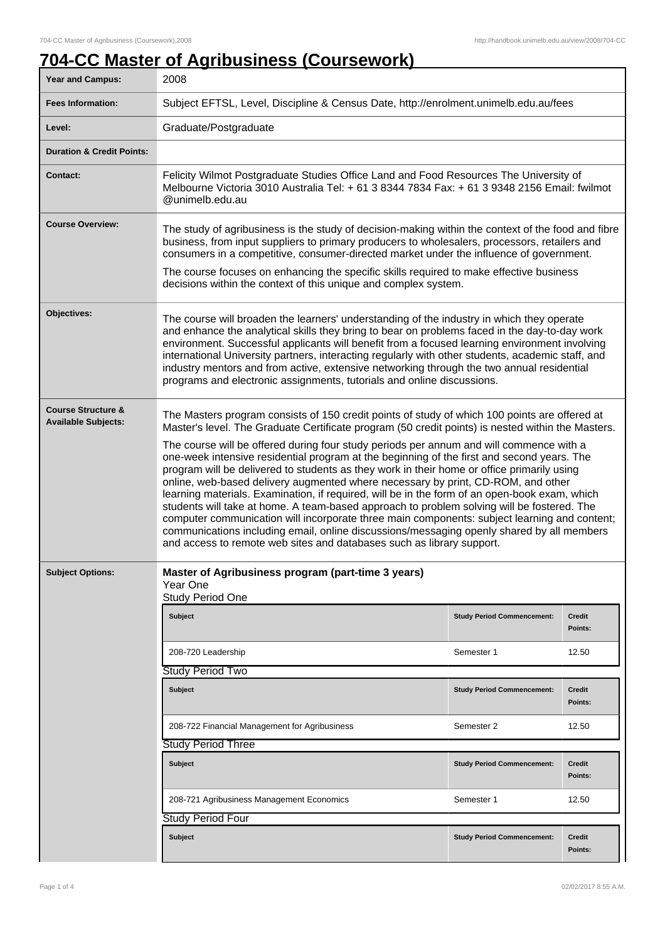## **704-CC Master of Agribusiness (Coursework)**

| Year and Campus:                                            | 2008                                                                                                                                                                                                                                                                                                                                                                                                                                                                                                                                                                                                                                                                                                                                                                                                                                                                                                                                                                                                                                               |                                   |                          |
|-------------------------------------------------------------|----------------------------------------------------------------------------------------------------------------------------------------------------------------------------------------------------------------------------------------------------------------------------------------------------------------------------------------------------------------------------------------------------------------------------------------------------------------------------------------------------------------------------------------------------------------------------------------------------------------------------------------------------------------------------------------------------------------------------------------------------------------------------------------------------------------------------------------------------------------------------------------------------------------------------------------------------------------------------------------------------------------------------------------------------|-----------------------------------|--------------------------|
| <b>Fees Information:</b>                                    | Subject EFTSL, Level, Discipline & Census Date, http://enrolment.unimelb.edu.au/fees                                                                                                                                                                                                                                                                                                                                                                                                                                                                                                                                                                                                                                                                                                                                                                                                                                                                                                                                                               |                                   |                          |
| Level:                                                      | Graduate/Postgraduate                                                                                                                                                                                                                                                                                                                                                                                                                                                                                                                                                                                                                                                                                                                                                                                                                                                                                                                                                                                                                              |                                   |                          |
| <b>Duration &amp; Credit Points:</b>                        |                                                                                                                                                                                                                                                                                                                                                                                                                                                                                                                                                                                                                                                                                                                                                                                                                                                                                                                                                                                                                                                    |                                   |                          |
| <b>Contact:</b>                                             | Felicity Wilmot Postgraduate Studies Office Land and Food Resources The University of<br>Melbourne Victoria 3010 Australia Tel: + 61 3 8344 7834 Fax: + 61 3 9348 2156 Email: fwilmot<br>@unimelb.edu.au                                                                                                                                                                                                                                                                                                                                                                                                                                                                                                                                                                                                                                                                                                                                                                                                                                           |                                   |                          |
| <b>Course Overview:</b>                                     | The study of agribusiness is the study of decision-making within the context of the food and fibre<br>business, from input suppliers to primary producers to wholesalers, processors, retailers and<br>consumers in a competitive, consumer-directed market under the influence of government.<br>The course focuses on enhancing the specific skills required to make effective business<br>decisions within the context of this unique and complex system.                                                                                                                                                                                                                                                                                                                                                                                                                                                                                                                                                                                       |                                   |                          |
| Objectives:                                                 | The course will broaden the learners' understanding of the industry in which they operate<br>and enhance the analytical skills they bring to bear on problems faced in the day-to-day work<br>environment. Successful applicants will benefit from a focused learning environment involving<br>international University partners, interacting regularly with other students, academic staff, and<br>industry mentors and from active, extensive networking through the two annual residential<br>programs and electronic assignments, tutorials and online discussions.                                                                                                                                                                                                                                                                                                                                                                                                                                                                            |                                   |                          |
| <b>Course Structure &amp;</b><br><b>Available Subjects:</b> | The Masters program consists of 150 credit points of study of which 100 points are offered at<br>Master's level. The Graduate Certificate program (50 credit points) is nested within the Masters.<br>The course will be offered during four study periods per annum and will commence with a<br>one-week intensive residential program at the beginning of the first and second years. The<br>program will be delivered to students as they work in their home or office primarily using<br>online, web-based delivery augmented where necessary by print, CD-ROM, and other<br>learning materials. Examination, if required, will be in the form of an open-book exam, which<br>students will take at home. A team-based approach to problem solving will be fostered. The<br>computer communication will incorporate three main components: subject learning and content;<br>communications including email, online discussions/messaging openly shared by all members<br>and access to remote web sites and databases such as library support. |                                   |                          |
| <b>Subject Options:</b>                                     | Master of Agribusiness program (part-time 3 years)<br>Year One<br>Study Period One                                                                                                                                                                                                                                                                                                                                                                                                                                                                                                                                                                                                                                                                                                                                                                                                                                                                                                                                                                 |                                   |                          |
|                                                             | <b>Subject</b>                                                                                                                                                                                                                                                                                                                                                                                                                                                                                                                                                                                                                                                                                                                                                                                                                                                                                                                                                                                                                                     | <b>Study Period Commencement:</b> | <b>Credit</b><br>Points: |
|                                                             | 208-720 Leadership                                                                                                                                                                                                                                                                                                                                                                                                                                                                                                                                                                                                                                                                                                                                                                                                                                                                                                                                                                                                                                 | Semester 1                        | 12.50                    |
|                                                             | Study Period Two                                                                                                                                                                                                                                                                                                                                                                                                                                                                                                                                                                                                                                                                                                                                                                                                                                                                                                                                                                                                                                   |                                   |                          |
|                                                             | <b>Subject</b>                                                                                                                                                                                                                                                                                                                                                                                                                                                                                                                                                                                                                                                                                                                                                                                                                                                                                                                                                                                                                                     | <b>Study Period Commencement:</b> | Credit<br>Points:        |
|                                                             | 208-722 Financial Management for Agribusiness                                                                                                                                                                                                                                                                                                                                                                                                                                                                                                                                                                                                                                                                                                                                                                                                                                                                                                                                                                                                      | Semester 2                        | 12.50                    |
|                                                             | <b>Study Period Three</b>                                                                                                                                                                                                                                                                                                                                                                                                                                                                                                                                                                                                                                                                                                                                                                                                                                                                                                                                                                                                                          |                                   |                          |
|                                                             | <b>Subject</b>                                                                                                                                                                                                                                                                                                                                                                                                                                                                                                                                                                                                                                                                                                                                                                                                                                                                                                                                                                                                                                     | <b>Study Period Commencement:</b> | <b>Credit</b><br>Points: |
|                                                             | 208-721 Agribusiness Management Economics                                                                                                                                                                                                                                                                                                                                                                                                                                                                                                                                                                                                                                                                                                                                                                                                                                                                                                                                                                                                          | Semester 1                        | 12.50                    |
|                                                             | Study Period Four                                                                                                                                                                                                                                                                                                                                                                                                                                                                                                                                                                                                                                                                                                                                                                                                                                                                                                                                                                                                                                  |                                   |                          |
|                                                             | <b>Subject</b>                                                                                                                                                                                                                                                                                                                                                                                                                                                                                                                                                                                                                                                                                                                                                                                                                                                                                                                                                                                                                                     | <b>Study Period Commencement:</b> | <b>Credit</b><br>Points: |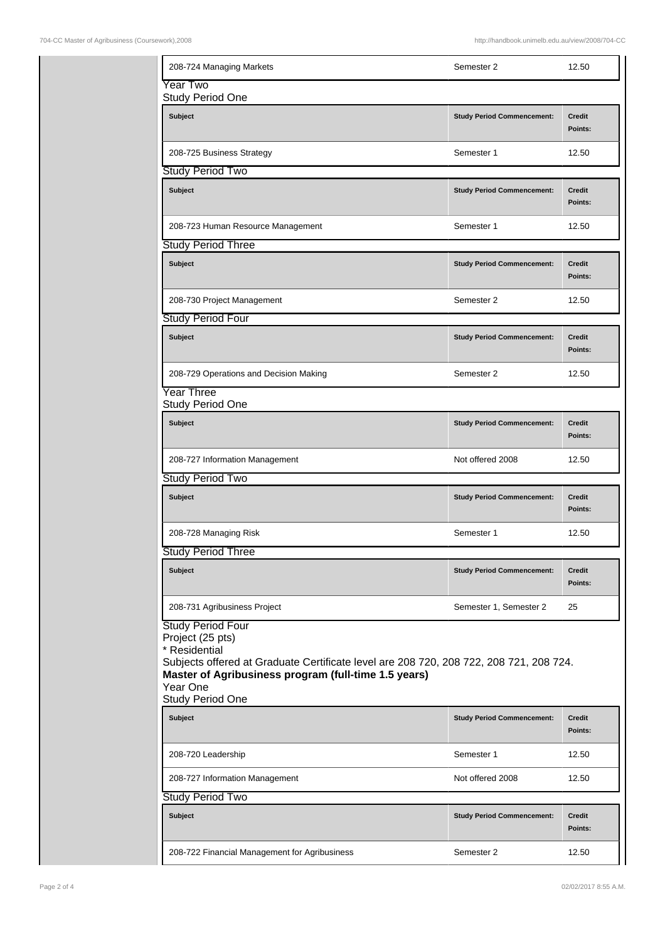| 208-724 Managing Markets                                                                                                                                                                                                                        | Semester 2                        | 12.50                    |
|-------------------------------------------------------------------------------------------------------------------------------------------------------------------------------------------------------------------------------------------------|-----------------------------------|--------------------------|
| Year Two<br>Study Period One                                                                                                                                                                                                                    |                                   |                          |
| <b>Subject</b>                                                                                                                                                                                                                                  | <b>Study Period Commencement:</b> | Credit<br>Points:        |
| 208-725 Business Strategy                                                                                                                                                                                                                       | Semester 1                        | 12.50                    |
| Study Period Two                                                                                                                                                                                                                                |                                   |                          |
| <b>Subject</b>                                                                                                                                                                                                                                  | <b>Study Period Commencement:</b> | Credit<br>Points:        |
| 208-723 Human Resource Management                                                                                                                                                                                                               | Semester 1                        | 12.50                    |
| <b>Study Period Three</b>                                                                                                                                                                                                                       |                                   |                          |
| <b>Subject</b>                                                                                                                                                                                                                                  | <b>Study Period Commencement:</b> | <b>Credit</b><br>Points: |
| 208-730 Project Management                                                                                                                                                                                                                      | Semester 2                        | 12.50                    |
| Study Period Four                                                                                                                                                                                                                               |                                   |                          |
| <b>Subject</b>                                                                                                                                                                                                                                  | <b>Study Period Commencement:</b> | <b>Credit</b><br>Points: |
| 208-729 Operations and Decision Making                                                                                                                                                                                                          | Semester 2                        | 12.50                    |
| Year Three<br><b>Study Period One</b>                                                                                                                                                                                                           |                                   |                          |
| <b>Subject</b>                                                                                                                                                                                                                                  | <b>Study Period Commencement:</b> | <b>Credit</b><br>Points: |
| 208-727 Information Management                                                                                                                                                                                                                  | Not offered 2008                  | 12.50                    |
| Study Period Two                                                                                                                                                                                                                                |                                   |                          |
| <b>Subject</b>                                                                                                                                                                                                                                  | <b>Study Period Commencement:</b> | Credit<br>Points:        |
| 208-728 Managing Risk                                                                                                                                                                                                                           | Semester 1                        | 12.50                    |
| <b>Study Period Three</b>                                                                                                                                                                                                                       |                                   |                          |
| <b>Subject</b>                                                                                                                                                                                                                                  | <b>Study Period Commencement:</b> | <b>Credit</b><br>Points: |
| 208-731 Agribusiness Project                                                                                                                                                                                                                    | Semester 1, Semester 2            | 25                       |
| <b>Study Period Four</b><br>Project (25 pts)<br>* Residential<br>Subjects offered at Graduate Certificate level are 208 720, 208 722, 208 721, 208 724.<br>Master of Agribusiness program (full-time 1.5 years)<br>Year One<br>Study Period One |                                   |                          |
| <b>Subject</b>                                                                                                                                                                                                                                  | <b>Study Period Commencement:</b> | <b>Credit</b><br>Points: |
| 208-720 Leadership                                                                                                                                                                                                                              | Semester 1                        | 12.50                    |
| 208-727 Information Management                                                                                                                                                                                                                  | Not offered 2008                  | 12.50                    |
| <b>Study Period Two</b>                                                                                                                                                                                                                         |                                   |                          |
| <b>Subject</b>                                                                                                                                                                                                                                  | <b>Study Period Commencement:</b> | <b>Credit</b><br>Points: |
| 208-722 Financial Management for Agribusiness                                                                                                                                                                                                   | Semester 2                        | 12.50                    |
|                                                                                                                                                                                                                                                 |                                   |                          |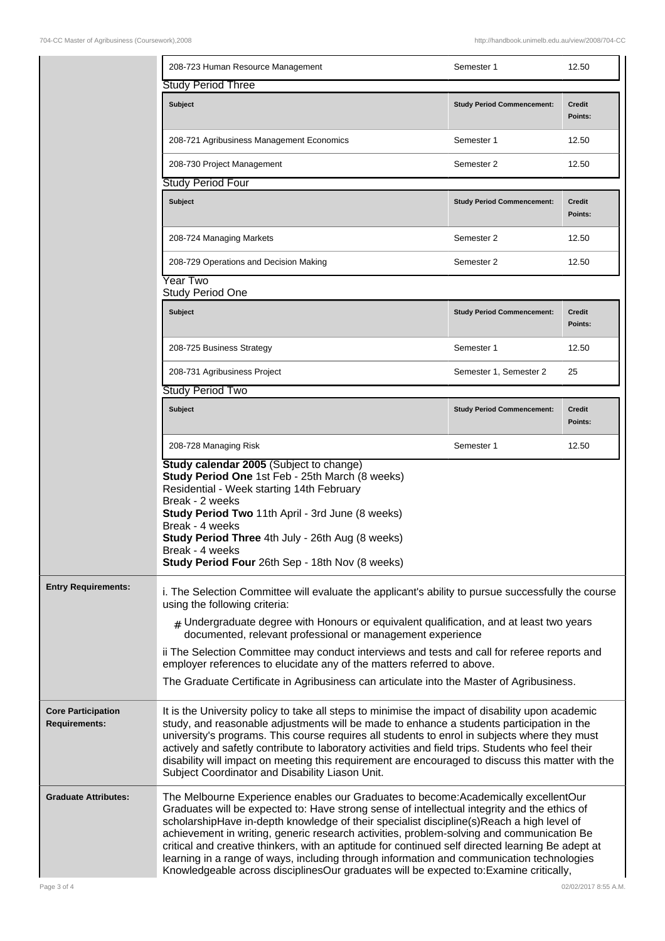|                                                   | 208-723 Human Resource Management                                                                                                                                                                                                                                                                                                                                                                                                                                                                                                                                                                                                                                        | Semester 1                        | 12.50                    |
|---------------------------------------------------|--------------------------------------------------------------------------------------------------------------------------------------------------------------------------------------------------------------------------------------------------------------------------------------------------------------------------------------------------------------------------------------------------------------------------------------------------------------------------------------------------------------------------------------------------------------------------------------------------------------------------------------------------------------------------|-----------------------------------|--------------------------|
|                                                   | <b>Study Period Three</b>                                                                                                                                                                                                                                                                                                                                                                                                                                                                                                                                                                                                                                                |                                   |                          |
|                                                   | Subject                                                                                                                                                                                                                                                                                                                                                                                                                                                                                                                                                                                                                                                                  | <b>Study Period Commencement:</b> | <b>Credit</b><br>Points: |
|                                                   | 208-721 Agribusiness Management Economics                                                                                                                                                                                                                                                                                                                                                                                                                                                                                                                                                                                                                                | Semester 1                        | 12.50                    |
|                                                   | 208-730 Project Management                                                                                                                                                                                                                                                                                                                                                                                                                                                                                                                                                                                                                                               | Semester 2                        | 12.50                    |
|                                                   | Study Period Four                                                                                                                                                                                                                                                                                                                                                                                                                                                                                                                                                                                                                                                        |                                   |                          |
|                                                   | <b>Subject</b>                                                                                                                                                                                                                                                                                                                                                                                                                                                                                                                                                                                                                                                           | <b>Study Period Commencement:</b> | <b>Credit</b><br>Points: |
|                                                   | 208-724 Managing Markets                                                                                                                                                                                                                                                                                                                                                                                                                                                                                                                                                                                                                                                 | Semester 2                        | 12.50                    |
|                                                   | 208-729 Operations and Decision Making                                                                                                                                                                                                                                                                                                                                                                                                                                                                                                                                                                                                                                   | Semester 2                        | 12.50                    |
|                                                   | Year Two<br><b>Study Period One</b>                                                                                                                                                                                                                                                                                                                                                                                                                                                                                                                                                                                                                                      |                                   |                          |
|                                                   | <b>Subject</b>                                                                                                                                                                                                                                                                                                                                                                                                                                                                                                                                                                                                                                                           | <b>Study Period Commencement:</b> | Credit<br>Points:        |
|                                                   | 208-725 Business Strategy                                                                                                                                                                                                                                                                                                                                                                                                                                                                                                                                                                                                                                                | Semester 1                        | 12.50                    |
|                                                   | 208-731 Agribusiness Project                                                                                                                                                                                                                                                                                                                                                                                                                                                                                                                                                                                                                                             | Semester 1, Semester 2            | 25                       |
|                                                   | <b>Study Period Two</b>                                                                                                                                                                                                                                                                                                                                                                                                                                                                                                                                                                                                                                                  |                                   |                          |
|                                                   | <b>Subject</b>                                                                                                                                                                                                                                                                                                                                                                                                                                                                                                                                                                                                                                                           | <b>Study Period Commencement:</b> | <b>Credit</b><br>Points: |
|                                                   | 208-728 Managing Risk                                                                                                                                                                                                                                                                                                                                                                                                                                                                                                                                                                                                                                                    | Semester 1                        | 12.50                    |
|                                                   | <b>Study calendar 2005</b> (Subject to change)<br>Study Period One 1st Feb - 25th March (8 weeks)<br>Residential - Week starting 14th February<br>Break - 2 weeks<br>Study Period Two 11th April - 3rd June (8 weeks)<br>Break - 4 weeks<br><b>Study Period Three 4th July - 26th Aug (8 weeks)</b><br>Break - 4 weeks<br>Study Period Four 26th Sep - 18th Nov (8 weeks)                                                                                                                                                                                                                                                                                                |                                   |                          |
| <b>Entry Requirements:</b>                        | i. The Selection Committee will evaluate the applicant's ability to pursue successfully the course<br>using the following criteria:<br>$*$ Undergraduate degree with Honours or equivalent qualification, and at least two years<br>documented, relevant professional or management experience<br>ii The Selection Committee may conduct interviews and tests and call for referee reports and<br>employer references to elucidate any of the matters referred to above.<br>The Graduate Certificate in Agribusiness can articulate into the Master of Agribusiness.                                                                                                     |                                   |                          |
| <b>Core Participation</b><br><b>Requirements:</b> | It is the University policy to take all steps to minimise the impact of disability upon academic<br>study, and reasonable adjustments will be made to enhance a students participation in the<br>university's programs. This course requires all students to enrol in subjects where they must<br>actively and safetly contribute to laboratory activities and field trips. Students who feel their<br>disability will impact on meeting this requirement are encouraged to discuss this matter with the<br>Subject Coordinator and Disability Liason Unit.                                                                                                              |                                   |                          |
| <b>Graduate Attributes:</b>                       | The Melbourne Experience enables our Graduates to become: Academically excellentOur<br>Graduates will be expected to: Have strong sense of intellectual integrity and the ethics of<br>scholarshipHave in-depth knowledge of their specialist discipline(s)Reach a high level of<br>achievement in writing, generic research activities, problem-solving and communication Be<br>critical and creative thinkers, with an aptitude for continued self directed learning Be adept at<br>learning in a range of ways, including through information and communication technologies<br>Knowledgeable across disciplinesOur graduates will be expected to:Examine critically, |                                   |                          |